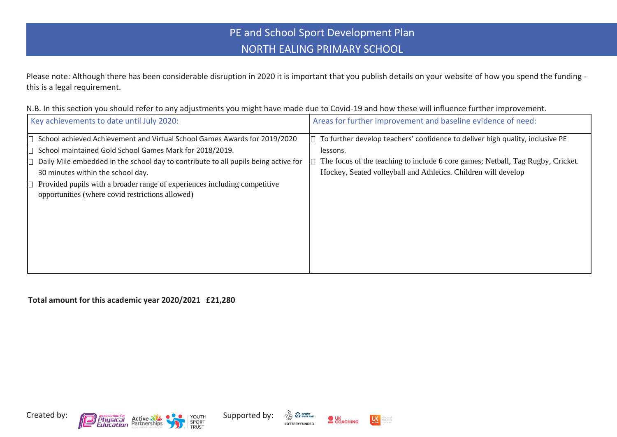## PE and School Sport Development Plan NORTH EALING PRIMARY SCHOOL

Please note: Although there has been considerable disruption in 2020 it is important that you publish details on your website of how you spend the funding this is a legal requirement.

N.B. In this section you should refer to any adjustments you might have made due to Covid-19 and how these will influence further improvement.

| Key achievements to date until July 2020:                                                                                                                                                                                                                                                                                                                                                        | Areas for further improvement and baseline evidence of need:                                                                                                                                                                                   |
|--------------------------------------------------------------------------------------------------------------------------------------------------------------------------------------------------------------------------------------------------------------------------------------------------------------------------------------------------------------------------------------------------|------------------------------------------------------------------------------------------------------------------------------------------------------------------------------------------------------------------------------------------------|
| School achieved Achievement and Virtual School Games Awards for 2019/2020<br>School maintained Gold School Games Mark for 2018/2019.<br>Daily Mile embedded in the school day to contribute to all pupils being active for<br>30 minutes within the school day.<br>Provided pupils with a broader range of experiences including competitive<br>opportunities (where covid restrictions allowed) | To further develop teachers' confidence to deliver high quality, inclusive PE<br>lessons.<br>The focus of the teaching to include 6 core games; Netball, Tag Rugby, Cricket.<br>Hockey, Seated volleyball and Athletics. Children will develop |

**Total amount for this academic year 2020/2021 £21,280**







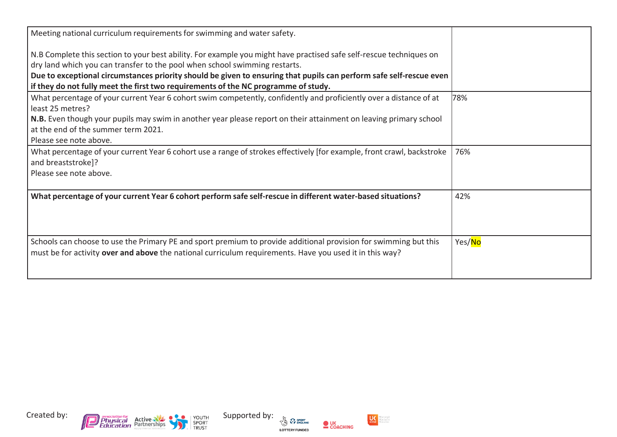| Meeting national curriculum requirements for swimming and water safety.<br>N.B Complete this section to your best ability. For example you might have practised safe self-rescue techniques on<br>dry land which you can transfer to the pool when school swimming restarts.<br>Due to exceptional circumstances priority should be given to ensuring that pupils can perform safe self-rescue even<br>if they do not fully meet the first two requirements of the NC programme of study. |        |
|-------------------------------------------------------------------------------------------------------------------------------------------------------------------------------------------------------------------------------------------------------------------------------------------------------------------------------------------------------------------------------------------------------------------------------------------------------------------------------------------|--------|
| What percentage of your current Year 6 cohort swim competently, confidently and proficiently over a distance of at<br>least 25 metres?<br>N.B. Even though your pupils may swim in another year please report on their attainment on leaving primary school<br>at the end of the summer term 2021.<br>Please see note above.                                                                                                                                                              | 78%    |
| What percentage of your current Year 6 cohort use a range of strokes effectively [for example, front crawl, backstroke<br>and breaststroke]?<br>Please see note above.                                                                                                                                                                                                                                                                                                                    | 76%    |
| What percentage of your current Year 6 cohort perform safe self-rescue in different water-based situations?                                                                                                                                                                                                                                                                                                                                                                               | 42%    |
| Schools can choose to use the Primary PE and sport premium to provide additional provision for swimming but this<br>must be for activity over and above the national curriculum requirements. Have you used it in this way?                                                                                                                                                                                                                                                               | Yes/No |









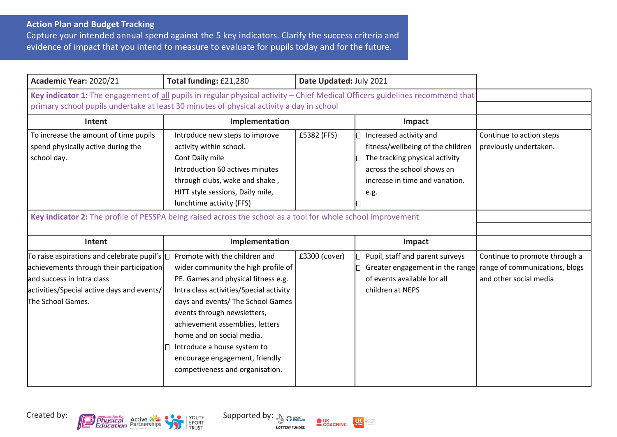## **Action Plan and Budget Tracking**

Capture your intended annual spend against the 5 key indicators. Clarify the success criteria and evidence of impact that you intend to measure to evaluate for pupils today and for the future.

| Academic Year: 2020/21                                                                                                                                                                                                    | Total funding: £21,280                                                                                                                                                                                                                                                                                                                                                                         | Date Updated: July 2021 |                                                                                                                                                                        |                                                                                           |
|---------------------------------------------------------------------------------------------------------------------------------------------------------------------------------------------------------------------------|------------------------------------------------------------------------------------------------------------------------------------------------------------------------------------------------------------------------------------------------------------------------------------------------------------------------------------------------------------------------------------------------|-------------------------|------------------------------------------------------------------------------------------------------------------------------------------------------------------------|-------------------------------------------------------------------------------------------|
| Key indicator 1: The engagement of all pupils in regular physical activity - Chief Medical Officers guidelines recommend that<br>primary school pupils undertake at least 30 minutes of physical activity a day in school |                                                                                                                                                                                                                                                                                                                                                                                                |                         |                                                                                                                                                                        |                                                                                           |
| Intent                                                                                                                                                                                                                    | Implementation                                                                                                                                                                                                                                                                                                                                                                                 |                         | Impact                                                                                                                                                                 |                                                                                           |
| To increase the amount of time pupils<br>spend physically active during the<br>school day.<br>Key indicator 2: The profile of PESSPA being raised across the school as a tool for whole school improvement                | Introduce new steps to improve<br>activity within school.<br>Cont Daily mile<br>Introduction 60 actives minutes<br>through clubs, wake and shake,<br>HITT style sessions, Daily mile,<br>lunchtime activity (FFS)                                                                                                                                                                              | £5382 (FFS)             | Increased activity and<br>fitness/wellbeing of the children<br>The tracking physical activity<br>across the school shows an<br>increase in time and variation.<br>e.g. | Continue to action steps<br>previously undertaken.                                        |
| Intent                                                                                                                                                                                                                    | Implementation                                                                                                                                                                                                                                                                                                                                                                                 |                         | Impact                                                                                                                                                                 |                                                                                           |
| To raise aspirations and celebrate pupil's $\Box$<br>achievements through their participation<br>and success in Intra class<br>activities/Special active days and events/<br>The School Games.                            | Promote with the children and<br>wider community the high profile of<br>PE. Games and physical fitness e.g.<br>Intra class activities/Special activity<br>days and events/ The School Games<br>events through newsletters,<br>achievement assemblies, letters<br>home and on social media.<br>Introduce a house system to<br>encourage engagement, friendly<br>competiveness and organisation. | $£3300$ (cover)         | Pupil, staff and parent surveys<br>Greater engagement in the range<br>of events available for all<br>children at NEPS                                                  | Continue to promote through a<br>range of communications, blogs<br>and other social media |





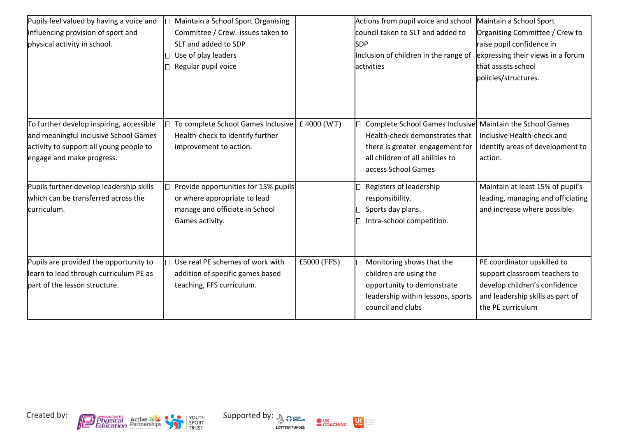| Pupils feel valued by having a voice and<br>influencing provision of sport and<br>physical activity in school.                                            | Maintain a School Sport Organising<br>Committee / Crew.-issues taken to<br>SLT and added to SDP<br>Use of play leaders<br>Regular pupil voice |             | Actions from pupil voice and school<br>council taken to SLT and added to<br><b>SDP</b><br>Inclusion of children in the range of<br><b>lactivities</b>                                     | Maintain a School Sport<br>Organising Committee / Crew to<br>raise pupil confidence in<br>expressing their views in a forum<br>that assists school<br>policies/structures. |
|-----------------------------------------------------------------------------------------------------------------------------------------------------------|-----------------------------------------------------------------------------------------------------------------------------------------------|-------------|-------------------------------------------------------------------------------------------------------------------------------------------------------------------------------------------|----------------------------------------------------------------------------------------------------------------------------------------------------------------------------|
| To further develop inspiring, accessible<br>and meaningful inclusive School Games<br>activity to support all young people to<br>engage and make progress. | To complete School Games Inclusive $\vert$ £ 4000 (WT)<br>Health-check to identify further<br>improvement to action.                          |             | Complete School Games Inclusive Maintain the School Games<br>Health-check demonstrates that<br>there is greater engagement for<br>all children of all abilities to<br>access School Games | Inclusive Health-check and<br>identify areas of development to<br>action.                                                                                                  |
| Pupils further develop leadership skills<br>which can be transferred across the<br>curriculum.                                                            | Provide opportunities for 15% pupils<br>or where appropriate to lead<br>manage and officiate in School<br>Games activity.                     |             | Registers of leadership<br>responsibility.<br>Sports day plans.<br>Intra-school competition.                                                                                              | Maintain at least 15% of pupil's<br>leading, managing and officiating<br>and increase where possible.                                                                      |
| Pupils are provided the opportunity to<br>learn to lead through curriculum PE as<br>part of the lesson structure.                                         | Use real PE schemes of work with<br>addition of specific games based<br>teaching, FFS curriculum.                                             | £5000 (FFS) | Monitoring shows that the<br>children are using the<br>opportunity to demonstrate<br>leadership within lessons, sports<br>council and clubs                                               | PE coordinator upskilled to<br>support classroom teachers to<br>develop children's confidence<br>and leadership skills as part of<br>the PE curriculum                     |







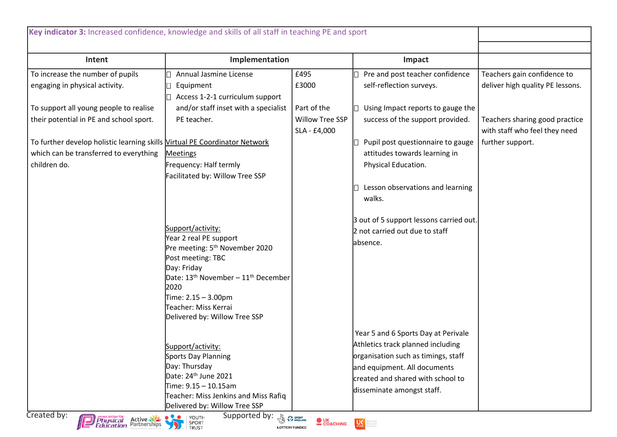| Key indicator 3: Increased confidence, knowledge and skills of all staff in teaching PE and sport |                                                                      |                                                 |                                                                                                                                                                                                                                                                                                                                                     |                                  |
|---------------------------------------------------------------------------------------------------|----------------------------------------------------------------------|-------------------------------------------------|-----------------------------------------------------------------------------------------------------------------------------------------------------------------------------------------------------------------------------------------------------------------------------------------------------------------------------------------------------|----------------------------------|
|                                                                                                   |                                                                      |                                                 |                                                                                                                                                                                                                                                                                                                                                     |                                  |
| Intent                                                                                            | Implementation                                                       |                                                 | Impact                                                                                                                                                                                                                                                                                                                                              |                                  |
| To increase the number of pupils                                                                  | Annual Jasmine License                                               | £495                                            | Pre and post teacher confidence                                                                                                                                                                                                                                                                                                                     | Teachers gain confidence to      |
| engaging in physical activity.                                                                    | Equipment                                                            | £3000                                           | self-reflection surveys.                                                                                                                                                                                                                                                                                                                            | deliver high quality PE lessons. |
|                                                                                                   | Access 1-2-1 curriculum support                                      |                                                 |                                                                                                                                                                                                                                                                                                                                                     |                                  |
| To support all young people to realise                                                            | and/or staff inset with a specialist                                 | Part of the                                     | Using Impact reports to gauge the                                                                                                                                                                                                                                                                                                                   |                                  |
| their potential in PE and school sport.                                                           | PE teacher.                                                          | Willow Tree SSP                                 | success of the support provided.                                                                                                                                                                                                                                                                                                                    | Teachers sharing good practice   |
|                                                                                                   |                                                                      | SLA - £4,000                                    |                                                                                                                                                                                                                                                                                                                                                     | with staff who feel they need    |
| To further develop holistic learning skills Virtual PE Coordinator Network                        |                                                                      |                                                 | Pupil post questionnaire to gauge                                                                                                                                                                                                                                                                                                                   | further support.                 |
| which can be transferred to everything                                                            | <b>Meetings</b>                                                      |                                                 | attitudes towards learning in                                                                                                                                                                                                                                                                                                                       |                                  |
| children do.                                                                                      | Frequency: Half termly                                               |                                                 | Physical Education.                                                                                                                                                                                                                                                                                                                                 |                                  |
|                                                                                                   | Facilitated by: Willow Tree SSP                                      |                                                 |                                                                                                                                                                                                                                                                                                                                                     |                                  |
|                                                                                                   |                                                                      |                                                 | Lesson observations and learning                                                                                                                                                                                                                                                                                                                    |                                  |
|                                                                                                   |                                                                      |                                                 | walks.                                                                                                                                                                                                                                                                                                                                              |                                  |
|                                                                                                   |                                                                      |                                                 |                                                                                                                                                                                                                                                                                                                                                     |                                  |
|                                                                                                   |                                                                      |                                                 | 3 out of 5 support lessons carried out.                                                                                                                                                                                                                                                                                                             |                                  |
|                                                                                                   | Support/activity:                                                    |                                                 | 2 not carried out due to staff                                                                                                                                                                                                                                                                                                                      |                                  |
|                                                                                                   | Year 2 real PE support<br>Pre meeting: 5 <sup>th</sup> November 2020 |                                                 | absence.                                                                                                                                                                                                                                                                                                                                            |                                  |
|                                                                                                   | Post meeting: TBC                                                    |                                                 |                                                                                                                                                                                                                                                                                                                                                     |                                  |
|                                                                                                   | Day: Friday                                                          |                                                 |                                                                                                                                                                                                                                                                                                                                                     |                                  |
|                                                                                                   | Date: 13 <sup>th</sup> November - 11 <sup>th</sup> December          |                                                 |                                                                                                                                                                                                                                                                                                                                                     |                                  |
|                                                                                                   | 2020                                                                 |                                                 |                                                                                                                                                                                                                                                                                                                                                     |                                  |
|                                                                                                   | Time: 2.15 - 3.00pm                                                  |                                                 |                                                                                                                                                                                                                                                                                                                                                     |                                  |
|                                                                                                   | Teacher: Miss Kerrai                                                 |                                                 |                                                                                                                                                                                                                                                                                                                                                     |                                  |
|                                                                                                   | Delivered by: Willow Tree SSP                                        |                                                 |                                                                                                                                                                                                                                                                                                                                                     |                                  |
|                                                                                                   |                                                                      |                                                 | Year 5 and 6 Sports Day at Perivale                                                                                                                                                                                                                                                                                                                 |                                  |
|                                                                                                   | Support/activity:                                                    |                                                 | Athletics track planned including                                                                                                                                                                                                                                                                                                                   |                                  |
|                                                                                                   | Sports Day Planning                                                  |                                                 | organisation such as timings, staff                                                                                                                                                                                                                                                                                                                 |                                  |
|                                                                                                   | Day: Thursday                                                        |                                                 | and equipment. All documents                                                                                                                                                                                                                                                                                                                        |                                  |
|                                                                                                   | Date: 24 <sup>th</sup> June 2021                                     |                                                 | created and shared with school to                                                                                                                                                                                                                                                                                                                   |                                  |
|                                                                                                   | Time: 9.15 - 10.15am                                                 |                                                 | disseminate amongst staff.                                                                                                                                                                                                                                                                                                                          |                                  |
|                                                                                                   | Teacher: Miss Jenkins and Miss Rafiq                                 |                                                 |                                                                                                                                                                                                                                                                                                                                                     |                                  |
| Created by:                                                                                       | Delivered by: Willow Tree SSP                                        |                                                 |                                                                                                                                                                                                                                                                                                                                                     |                                  |
| <b>Physical Active</b><br><i><b>Physical Active</b></i><br><i>Education</i> Partnerships          | Supported by: 8 Presence<br>O YOUTH<br>SPORT<br>TRUST<br>J)          | <b>OUK</b><br>COACHING<br><b>LOTTERY FUNDED</b> | $\begin{picture}(180,10) \put(0,0){\line(1,0){10}} \put(10,0){\line(1,0){10}} \put(10,0){\line(1,0){10}} \put(10,0){\line(1,0){10}} \put(10,0){\line(1,0){10}} \put(10,0){\line(1,0){10}} \put(10,0){\line(1,0){10}} \put(10,0){\line(1,0){10}} \put(10,0){\line(1,0){10}} \put(10,0){\line(1,0){10}} \put(10,0){\line(1,0){10}} \put(10,0){\line($ |                                  |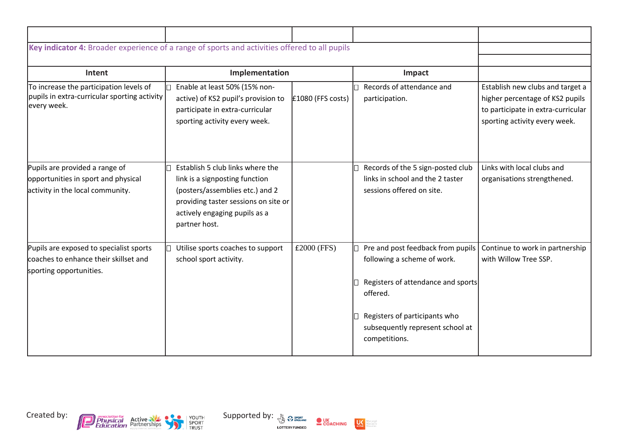| Key indicator 4: Broader experience of a range of sports and activities offered to all pupils               |                                                                                                                                                                                                 |                     |                                                                                                                                                                                                          |                                                                                                                                            |
|-------------------------------------------------------------------------------------------------------------|-------------------------------------------------------------------------------------------------------------------------------------------------------------------------------------------------|---------------------|----------------------------------------------------------------------------------------------------------------------------------------------------------------------------------------------------------|--------------------------------------------------------------------------------------------------------------------------------------------|
| Intent                                                                                                      | Implementation                                                                                                                                                                                  |                     | Impact                                                                                                                                                                                                   |                                                                                                                                            |
| To increase the participation levels of<br>pupils in extra-curricular sporting activity<br>every week.      | Enable at least 50% (15% non-<br>active) of KS2 pupil's provision to<br>participate in extra-curricular<br>sporting activity every week.                                                        | $£1080$ (FFS costs) | Records of attendance and<br>participation.                                                                                                                                                              | Establish new clubs and target a<br>higher percentage of KS2 pupils<br>to participate in extra-curricular<br>sporting activity every week. |
| Pupils are provided a range of<br>opportunities in sport and physical<br>activity in the local community.   | Establish 5 club links where the<br>link is a signposting function<br>(posters/assemblies etc.) and 2<br>providing taster sessions on site or<br>actively engaging pupils as a<br>partner host. |                     | Records of the 5 sign-posted club<br>links in school and the 2 taster<br>sessions offered on site.                                                                                                       | Links with local clubs and<br>organisations strengthened.                                                                                  |
| Pupils are exposed to specialist sports<br>coaches to enhance their skillset and<br>sporting opportunities. | Utilise sports coaches to support<br>school sport activity.                                                                                                                                     | £2000 (FFS)         | Pre and post feedback from pupils<br>following a scheme of work.<br>Registers of attendance and sports<br>offered.<br>Registers of participants who<br>subsequently represent school at<br>competitions. | Continue to work in partnership<br>with Willow Tree SSP.                                                                                   |





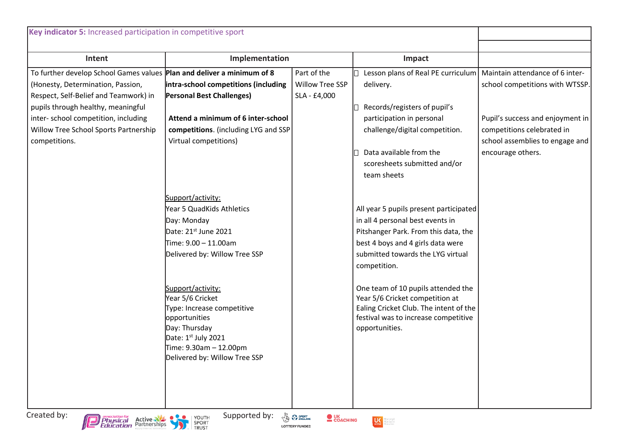| Intent                                                                        | Implementation                              |                 | Impact                                                                         |                                  |
|-------------------------------------------------------------------------------|---------------------------------------------|-----------------|--------------------------------------------------------------------------------|----------------------------------|
| To further develop School Games values <b>Plan and deliver a minimum of 8</b> |                                             | Part of the     | Lesson plans of Real PE curriculum   Maintain attendance of 6 inter-           |                                  |
| (Honesty, Determination, Passion,                                             | intra-school competitions (including        | Willow Tree SSP | delivery.                                                                      | school competitions with WTSSP.  |
| Respect, Self-Belief and Teamwork) in                                         | <b>Personal Best Challenges)</b>            | SLA - £4,000    |                                                                                |                                  |
| pupils through healthy, meaningful                                            |                                             |                 | Records/registers of pupil's                                                   |                                  |
| inter-school competition, including                                           | Attend a minimum of 6 inter-school          |                 | participation in personal                                                      | Pupil's success and enjoyment in |
| Willow Tree School Sports Partnership                                         | competitions. (including LYG and SSP        |                 | challenge/digital competition.                                                 | competitions celebrated in       |
| competitions.                                                                 | Virtual competitions)                       |                 |                                                                                | school assemblies to engage and  |
|                                                                               |                                             |                 | Data available from the                                                        | encourage others.                |
|                                                                               |                                             |                 | scoresheets submitted and/or                                                   |                                  |
|                                                                               |                                             |                 | team sheets                                                                    |                                  |
|                                                                               |                                             |                 |                                                                                |                                  |
|                                                                               | Support/activity:                           |                 |                                                                                |                                  |
|                                                                               | Year 5 QuadKids Athletics                   |                 | All year 5 pupils present participated                                         |                                  |
|                                                                               | Day: Monday                                 |                 | in all 4 personal best events in                                               |                                  |
|                                                                               | Date: 21st June 2021                        |                 | Pitshanger Park. From this data, the                                           |                                  |
|                                                                               | Time: 9.00 - 11.00am                        |                 | best 4 boys and 4 girls data were                                              |                                  |
|                                                                               | Delivered by: Willow Tree SSP               |                 | submitted towards the LYG virtual<br>competition.                              |                                  |
|                                                                               | Support/activity:                           |                 | One team of 10 pupils attended the                                             |                                  |
|                                                                               | Year 5/6 Cricket                            |                 | Year 5/6 Cricket competition at                                                |                                  |
|                                                                               | Type: Increase competitive<br>opportunities |                 | Ealing Cricket Club. The intent of the<br>festival was to increase competitive |                                  |
|                                                                               | Day: Thursday                               |                 | opportunities.                                                                 |                                  |
|                                                                               | Date: 1 <sup>st</sup> July 2021             |                 |                                                                                |                                  |
|                                                                               | Time: 9.30am - 12.00pm                      |                 |                                                                                |                                  |
|                                                                               | Delivered by: Willow Tree SSP               |                 |                                                                                |                                  |
|                                                                               |                                             |                 |                                                                                |                                  |
|                                                                               |                                             |                 |                                                                                |                                  |
|                                                                               |                                             |                 |                                                                                |                                  |